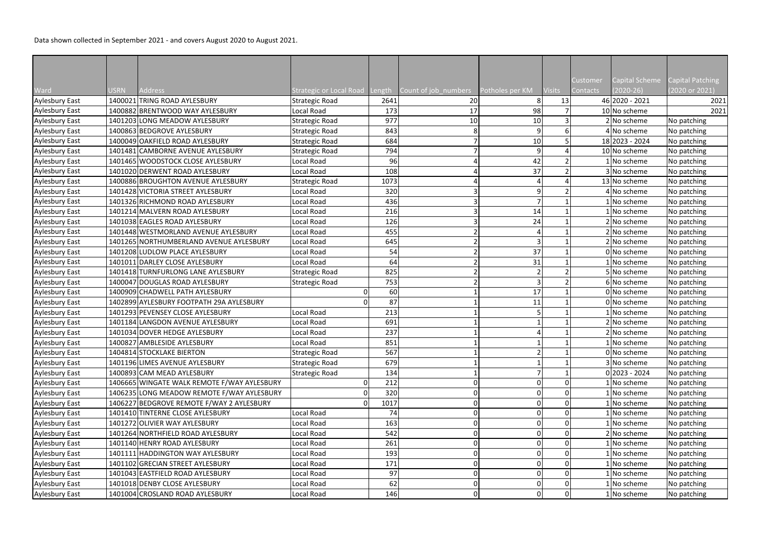| Ward                  | <b>JSRN</b> | Address                                                          |                         |        |                      |                      | <b>Visits</b> | Customer<br>Contacts | Capital Scheme<br>$(2020-26)$ | <b>Capital Patching</b><br>(2020 or 2021) |
|-----------------------|-------------|------------------------------------------------------------------|-------------------------|--------|----------------------|----------------------|---------------|----------------------|-------------------------------|-------------------------------------------|
|                       |             | 1400021 TRING ROAD AYLESBURY                                     | Strategic or Local Road | Length | Count of job_numbers | Potholes per KM<br>8 |               |                      | 46 2020 - 2021                | 2021                                      |
| <b>Aylesbury East</b> |             |                                                                  | Strategic Road          | 2641   | 20                   |                      | 13            |                      |                               |                                           |
| <b>Aylesbury East</b> |             | 1400882 BRENTWOOD WAY AYLESBURY<br>1401203 LONG MEADOW AYLESBURY | Local Road              | 173    | 17                   | 98                   |               |                      | 10 No scheme                  | 2021                                      |
| <b>Aylesbury East</b> |             |                                                                  | Strategic Road          | 977    | 10                   | 10<br>q              |               |                      | 2 No scheme                   | No patching                               |
| <b>Aylesbury East</b> |             | 1400863 BEDGROVE AYLESBURY                                       | Strategic Road          | 843    |                      |                      |               |                      | 4 No scheme                   | No patching                               |
| <b>Aylesbury East</b> |             | 1400049 OAKFIELD ROAD AYLESBURY                                  | Strategic Road          | 684    |                      | 10                   |               |                      | 18 2023 - 2024                | No patching                               |
| <b>Aylesbury East</b> |             | 1401481 CAMBORNE AVENUE AYLESBURY                                | Strategic Road          | 794    |                      | q                    |               |                      | 10 No scheme                  | No patching                               |
| <b>Aylesbury East</b> |             | 1401465 WOODSTOCK CLOSE AYLESBURY                                | Local Road              | 96     |                      | 42                   |               |                      | No scheme                     | No patching                               |
| <b>Aylesbury East</b> |             | 1401020 DERWENT ROAD AYLESBURY                                   | Local Road              | 108    |                      | 37                   |               |                      | 3 No scheme                   | No patching                               |
| <b>Aylesbury East</b> |             | 1400886 BROUGHTON AVENUE AYLESBURY                               | Strategic Road          | 1073   |                      |                      |               |                      | 13 No scheme                  | No patching                               |
| <b>Aylesbury East</b> |             | 1401428 VICTORIA STREET AYLESBURY                                | Local Road              | 320    |                      |                      |               |                      | 4 No scheme                   | No patching                               |
| <b>Aylesbury East</b> |             | 1401326 RICHMOND ROAD AYLESBURY                                  | Local Road              | 436    |                      |                      |               |                      | No scheme                     | No patching                               |
| <b>Aylesbury East</b> |             | 1401214 MALVERN ROAD AYLESBURY                                   | Local Road              | 216    |                      | 14                   |               |                      | No scheme                     | No patching                               |
| <b>Aylesbury East</b> |             | 1401038 EAGLES ROAD AYLESBURY                                    | Local Road              | 126    |                      | 24                   |               |                      | 2 No scheme                   | No patching                               |
| <b>Aylesbury East</b> |             | 1401448 WESTMORLAND AVENUE AYLESBURY                             | Local Road              | 455    |                      |                      |               |                      | 2 No scheme                   | No patching                               |
| <b>Aylesbury East</b> |             | 1401265 NORTHUMBERLAND AVENUE AYLESBURY                          | Local Road              | 645    |                      |                      |               |                      | 2 No scheme                   | No patching                               |
| <b>Aylesbury East</b> |             | 1401208 LUDLOW PLACE AYLESBURY                                   | Local Road              | 54     |                      | 37                   |               |                      | 0 No scheme                   | No patching                               |
| <b>Aylesbury East</b> |             | 1401011 DARLEY CLOSE AYLESBURY                                   | Local Road              | 64     |                      | 31                   |               |                      | No scheme                     | No patching                               |
| <b>Aylesbury East</b> |             | 1401418 TURNFURLONG LANE AYLESBURY                               | Strategic Road          | 825    |                      |                      |               |                      | 5 No scheme                   | No patching                               |
| <b>Aylesbury East</b> |             | 1400047 DOUGLAS ROAD AYLESBURY                                   | Strategic Road          | 753    |                      | 3                    |               |                      | 6 No scheme                   | No patching                               |
| <b>Aylesbury East</b> |             | 1400909 CHADWELL PATH AYLESBURY                                  |                         | 60     |                      | 17                   |               |                      | 0 No scheme                   | No patching                               |
| <b>Aylesbury East</b> |             | 1402899 AYLESBURY FOOTPATH 29A AYLESBURY                         |                         | 87     |                      | 11                   |               |                      | 0 No scheme                   | No patching                               |
| <b>Aylesbury East</b> |             | 1401293 PEVENSEY CLOSE AYLESBURY                                 | Local Road              | 213    |                      |                      |               |                      | No scheme                     | No patching                               |
| <b>Aylesbury East</b> |             | 1401184 LANGDON AVENUE AYLESBURY                                 | Local Road              | 691    |                      |                      |               |                      | 2 No scheme                   | No patching                               |
| Aylesbury East        |             | 1401034 DOVER HEDGE AYLESBURY                                    | Local Road              | 237    |                      |                      |               |                      | 2 No scheme                   | No patching                               |
| Aylesbury East        |             | 1400827 AMBLESIDE AYLESBURY                                      | Local Road              | 851    |                      |                      |               |                      | 1 No scheme                   | No patching                               |
| Aylesbury East        |             | 1404814 STOCKLAKE BIERTON                                        | Strategic Road          | 567    |                      |                      |               |                      | 0 No scheme                   | No patching                               |
| <b>Aylesbury East</b> |             | 1401196 LIMES AVENUE AYLESBURY                                   | Strategic Road          | 679    |                      |                      |               |                      | 3 No scheme                   | No patching                               |
| <b>Aylesbury East</b> |             | 1400893 CAM MEAD AYLESBURY                                       | Strategic Road          | 134    |                      |                      |               |                      | $0 2023 - 2024$               | No patching                               |
| <b>Aylesbury East</b> |             | 1406665 WINGATE WALK REMOTE F/WAY AYLESBURY                      |                         | 212    |                      |                      |               |                      | No scheme                     | No patching                               |
| <b>Aylesbury East</b> |             | 1406235 LONG MEADOW REMOTE F/WAY AYLESBURY                       |                         | 320    |                      | 0                    |               |                      | No scheme                     | No patching                               |
| <b>Aylesbury East</b> |             | 1406227 BEDGROVE REMOTE F/WAY 2 AYLESBURY                        |                         | 1017   |                      |                      |               |                      | No scheme                     | No patching                               |
| <b>Aylesbury East</b> |             | 1401410 TINTERNE CLOSE AYLESBURY                                 | Local Road              | 74     |                      |                      | $\mathbf 0$   |                      | No scheme                     | No patching                               |
| <b>Aylesbury East</b> |             | 1401272 OLIVIER WAY AYLESBURY                                    | Local Road              | 163    |                      |                      |               |                      | No scheme                     | No patching                               |
| <b>Aylesbury East</b> |             | 1401264 NORTHFIELD ROAD AYLESBURY                                | Local Road              | 542    |                      |                      |               |                      | 2 No scheme                   | No patching                               |
| <b>Aylesbury East</b> |             | 1401140 HENRY ROAD AYLESBURY                                     | Local Road              | 261    |                      |                      |               |                      | No scheme                     | No patching                               |
| <b>Aylesbury East</b> |             | 1401111 HADDINGTON WAY AYLESBURY                                 | Local Road              | 193    |                      |                      |               |                      | No scheme                     | No patching                               |
| <b>Aylesbury East</b> |             | 1401102 GRECIAN STREET AYLESBURY                                 | Local Road              | 171    |                      |                      | $\mathbf 0$   |                      | No scheme                     | No patching                               |
| <b>Aylesbury East</b> |             | 1401043 EASTFIELD ROAD AYLESBURY                                 | Local Road              | 97     |                      |                      |               |                      | No scheme                     | No patching                               |
| <b>Aylesbury East</b> |             | 1401018 DENBY CLOSE AYLESBURY                                    | Local Road              | 62     |                      |                      |               |                      | No scheme                     | No patching                               |
|                       |             | 1401004 CROSLAND ROAD AYLESBURY                                  |                         |        | 0                    | O                    | $\Omega$      |                      |                               |                                           |
| Aylesbury East        |             |                                                                  | Local Road              | 146    |                      |                      |               |                      | No scheme                     | No patching                               |